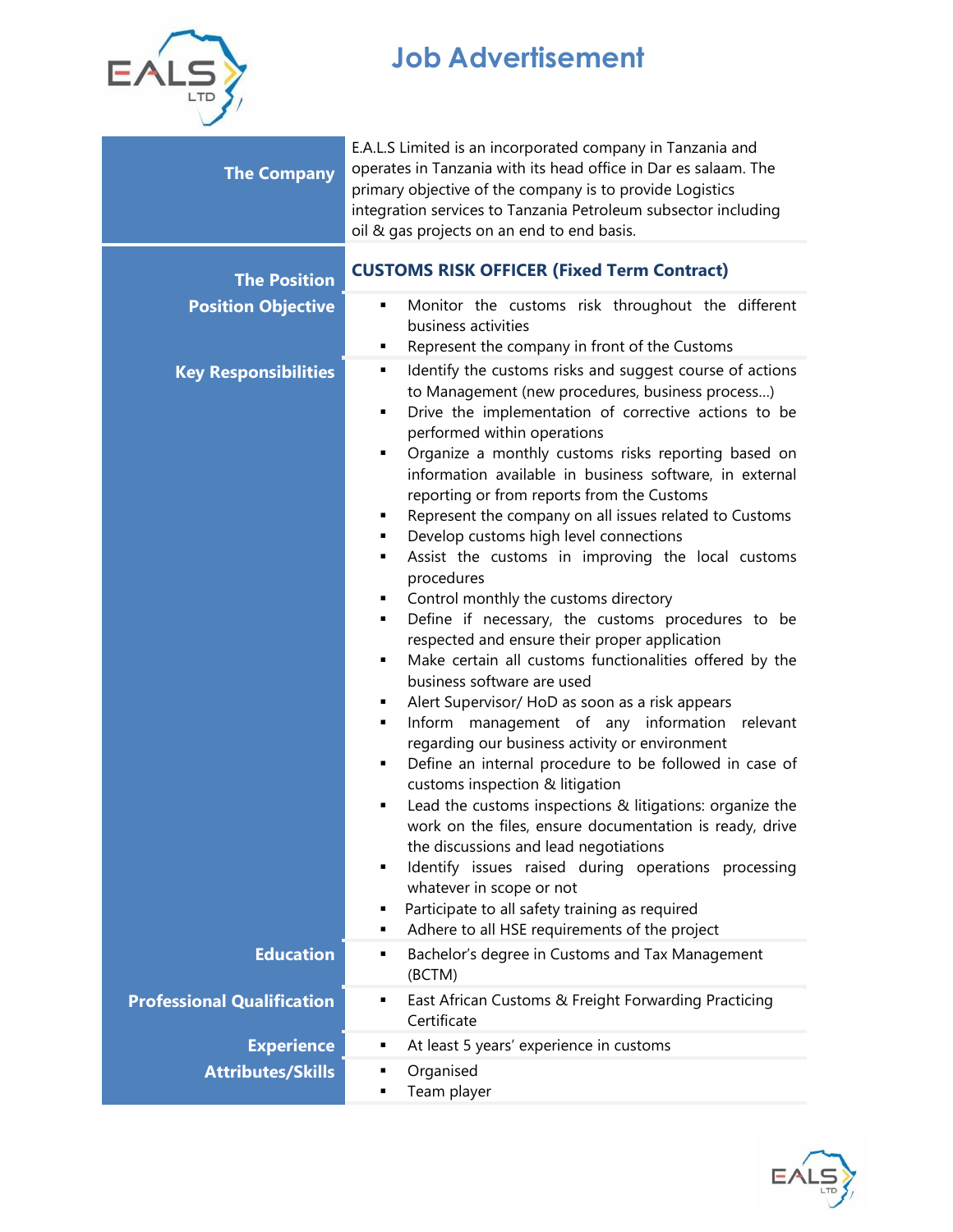

## **Job Advertisement**

| <b>The Company</b>                | E.A.L.S Limited is an incorporated company in Tanzania and<br>operates in Tanzania with its head office in Dar es salaam. The<br>primary objective of the company is to provide Logistics<br>integration services to Tanzania Petroleum subsector including<br>oil & gas projects on an end to end basis.                                                                                                                                                                                                                                                                                                                                                                                                                                                                                                                                                                                                                                                                                                                                                                                                                                                                                                                                                                                                                                                                                                             |  |
|-----------------------------------|-----------------------------------------------------------------------------------------------------------------------------------------------------------------------------------------------------------------------------------------------------------------------------------------------------------------------------------------------------------------------------------------------------------------------------------------------------------------------------------------------------------------------------------------------------------------------------------------------------------------------------------------------------------------------------------------------------------------------------------------------------------------------------------------------------------------------------------------------------------------------------------------------------------------------------------------------------------------------------------------------------------------------------------------------------------------------------------------------------------------------------------------------------------------------------------------------------------------------------------------------------------------------------------------------------------------------------------------------------------------------------------------------------------------------|--|
| <b>The Position</b>               | <b>CUSTOMS RISK OFFICER (Fixed Term Contract)</b>                                                                                                                                                                                                                                                                                                                                                                                                                                                                                                                                                                                                                                                                                                                                                                                                                                                                                                                                                                                                                                                                                                                                                                                                                                                                                                                                                                     |  |
| <b>Position Objective</b>         | Monitor the customs risk throughout the different<br>٠<br>business activities<br>Represent the company in front of the Customs<br>٠                                                                                                                                                                                                                                                                                                                                                                                                                                                                                                                                                                                                                                                                                                                                                                                                                                                                                                                                                                                                                                                                                                                                                                                                                                                                                   |  |
| <b>Key Responsibilities</b>       | Identify the customs risks and suggest course of actions<br>٠<br>to Management (new procedures, business process)<br>Drive the implementation of corrective actions to be<br>٠<br>performed within operations<br>Organize a monthly customs risks reporting based on<br>٠<br>information available in business software, in external<br>reporting or from reports from the Customs<br>Represent the company on all issues related to Customs<br>٠<br>Develop customs high level connections<br>٠<br>Assist the customs in improving the local customs<br>٠<br>procedures<br>Control monthly the customs directory<br>٠<br>Define if necessary, the customs procedures to be<br>٠<br>respected and ensure their proper application<br>Make certain all customs functionalities offered by the<br>٠<br>business software are used<br>Alert Supervisor/ HoD as soon as a risk appears<br>٠<br>Inform management of any information relevant<br>٠<br>regarding our business activity or environment<br>Define an internal procedure to be followed in case of<br>п<br>customs inspection & litigation<br>Lead the customs inspections & litigations: organize the<br>٠<br>work on the files, ensure documentation is ready, drive<br>the discussions and lead negotiations<br>Identify issues raised during operations processing<br>٠<br>whatever in scope or not<br>Participate to all safety training as required<br>٠ |  |
| <b>Education</b>                  | Adhere to all HSE requirements of the project<br>٠<br>Bachelor's degree in Customs and Tax Management<br>٠                                                                                                                                                                                                                                                                                                                                                                                                                                                                                                                                                                                                                                                                                                                                                                                                                                                                                                                                                                                                                                                                                                                                                                                                                                                                                                            |  |
| <b>Professional Qualification</b> | (BCTM)<br>East African Customs & Freight Forwarding Practicing<br>٠<br>Certificate                                                                                                                                                                                                                                                                                                                                                                                                                                                                                                                                                                                                                                                                                                                                                                                                                                                                                                                                                                                                                                                                                                                                                                                                                                                                                                                                    |  |
| <b>Experience</b>                 | At least 5 years' experience in customs<br>٠                                                                                                                                                                                                                                                                                                                                                                                                                                                                                                                                                                                                                                                                                                                                                                                                                                                                                                                                                                                                                                                                                                                                                                                                                                                                                                                                                                          |  |
| <b>Attributes/Skills</b>          | Organised<br>п                                                                                                                                                                                                                                                                                                                                                                                                                                                                                                                                                                                                                                                                                                                                                                                                                                                                                                                                                                                                                                                                                                                                                                                                                                                                                                                                                                                                        |  |
|                                   | Team player                                                                                                                                                                                                                                                                                                                                                                                                                                                                                                                                                                                                                                                                                                                                                                                                                                                                                                                                                                                                                                                                                                                                                                                                                                                                                                                                                                                                           |  |